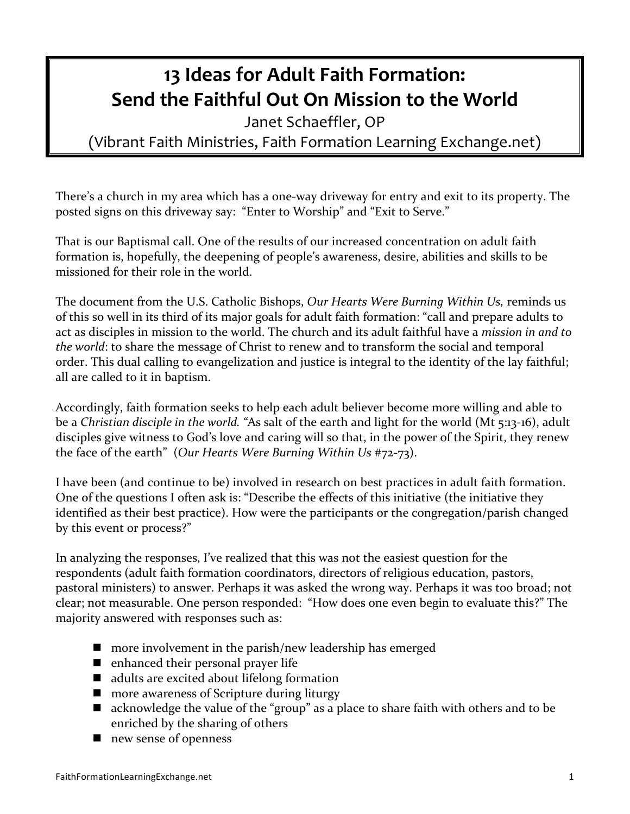## **13 Ideas for Adult Faith Formation: Send the Faithful Out On Mission to the World**

Janet Schaeffler, OP (Vibrant Faith Ministries, Faith Formation Learning Exchange.net)

There's a church in my area which has a one-way driveway for entry and exit to its property. The posted signs on this driveway say: "Enter to Worship" and "Exit to Serve."

That is our Baptismal call. One of the results of our increased concentration on adult faith formation is, hopefully, the deepening of people's awareness, desire, abilities and skills to be missioned for their role in the world.

The document from the U.S. Catholic Bishops, *Our Hearts Were Burning Within Us*, reminds us of this so well in its third of its major goals for adult faith formation: "call and prepare adults to act as disciples in mission to the world. The church and its adult faithful have a *mission in and to the* world: to share the message of Christ to renew and to transform the social and temporal order. This dual calling to evangelization and justice is integral to the identity of the lay faithful; all are called to it in baptism.

Accordingly, faith formation seeks to help each adult believer become more willing and able to be a *Christian disciple in the world.* "As salt of the earth and light for the world (Mt 5:13-16), adult disciples give witness to God's love and caring will so that, in the power of the Spirit, they renew the face of the earth" (Our Hearts Were Burning Within Us #72-73).

I have been (and continue to be) involved in research on best practices in adult faith formation. One of the questions I often ask is: "Describe the effects of this initiative (the initiative they identified as their best practice). How were the participants or the congregation/parish changed by this event or process?"

In analyzing the responses, I've realized that this was not the easiest question for the respondents (adult faith formation coordinators, directors of religious education, pastors, pastoral ministers) to answer. Perhaps it was asked the wrong way. Perhaps it was too broad; not clear; not measurable. One person responded: "How does one even begin to evaluate this?" The majority answered with responses such as:

- $\blacksquare$  more involvement in the parish/new leadership has emerged
- $\blacksquare$  enhanced their personal prayer life
- $\blacksquare$  adults are excited about lifelong formation
- $\blacksquare$  more awareness of Scripture during liturgy
- $\blacksquare$  acknowledge the value of the "group" as a place to share faith with others and to be enriched by the sharing of others
- $\blacksquare$  new sense of openness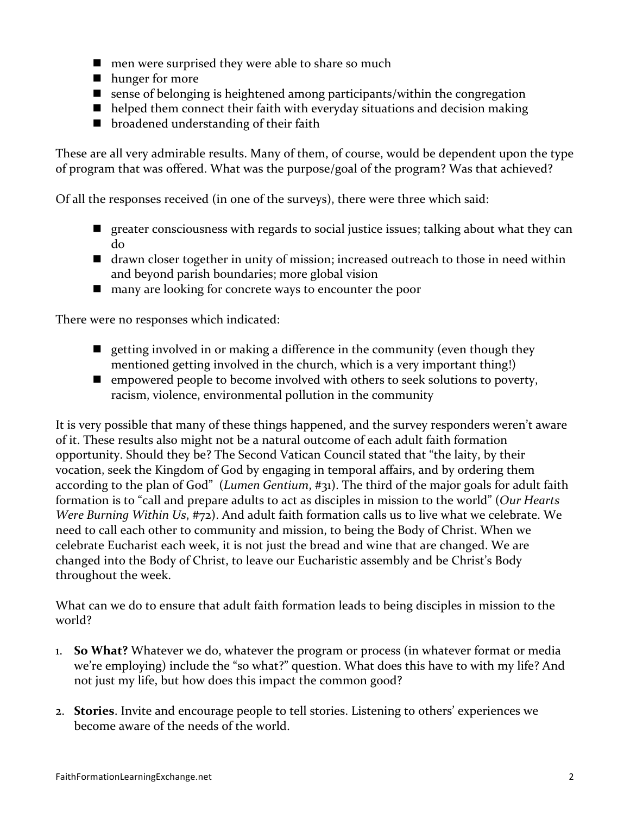- $\blacksquare$  men were surprised they were able to share so much
- lackson hunger for more
- **n** sense of belonging is heightened among participants/within the congregation
- $\blacksquare$  helped them connect their faith with everyday situations and decision making
- $\blacksquare$  broadened understanding of their faith

These are all very admirable results. Many of them, of course, would be dependent upon the type of program that was offered. What was the purpose/goal of the program? Was that achieved?

Of all the responses received (in one of the surveys), there were three which said:

- **n** greater consciousness with regards to social justice issues; talking about what they can do
- $\blacksquare$  drawn closer together in unity of mission; increased outreach to those in need within and beyond parish boundaries; more global vision
- $\blacksquare$  many are looking for concrete ways to encounter the poor

There were no responses which indicated:

- quence in the community (even though they getting involved in or making a difference in the community (even though they mentioned getting involved in the church, which is a very important thing!)
- n empowered people to become involved with others to seek solutions to poverty, racism, violence, environmental pollution in the community

It is very possible that many of these things happened, and the survey responders weren't aware of it. These results also might not be a natural outcome of each adult faith formation opportunity. Should they be? The Second Vatican Council stated that "the laity, by their vocation, seek the Kingdom of God by engaging in temporal affairs, and by ordering them according to the plan of God" (*Lumen Gentium*, #31). The third of the major goals for adult faith formation is to "call and prepare adults to act as disciples in mission to the world" (Our Hearts *Were Burning Within Us,* #72). And adult faith formation calls us to live what we celebrate. We need to call each other to community and mission, to being the Body of Christ. When we celebrate Eucharist each week, it is not just the bread and wine that are changed. We are changed into the Body of Christ, to leave our Eucharistic assembly and be Christ's Body throughout the week.

What can we do to ensure that adult faith formation leads to being disciples in mission to the world?

- 1. **So What?** Whatever we do, whatever the program or process (in whatever format or media we're employing) include the "so what?" question. What does this have to with my life? And not just my life, but how does this impact the common good?
- 2. **Stories**. Invite and encourage people to tell stories. Listening to others' experiences we become aware of the needs of the world.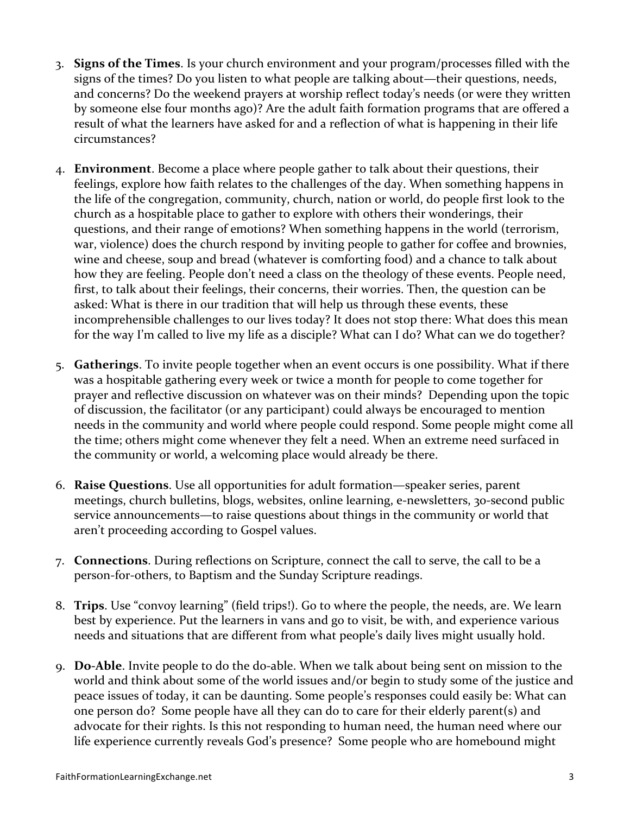- 3. **Signs of the Times**. Is your church environment and your program/processes filled with the signs of the times? Do you listen to what people are talking about—their questions, needs, and concerns? Do the weekend prayers at worship reflect today's needs (or were they written by someone else four months ago)? Are the adult faith formation programs that are offered a result of what the learners have asked for and a reflection of what is happening in their life circumstances?
- 4. **Environment**. Become a place where people gather to talk about their questions, their feelings, explore how faith relates to the challenges of the day. When something happens in the life of the congregation, community, church, nation or world, do people first look to the church as a hospitable place to gather to explore with others their wonderings, their questions, and their range of emotions? When something happens in the world (terrorism, war, violence) does the church respond by inviting people to gather for coffee and brownies, wine and cheese, soup and bread (whatever is comforting food) and a chance to talk about how they are feeling. People don't need a class on the theology of these events. People need, first, to talk about their feelings, their concerns, their worries. Then, the question can be asked: What is there in our tradition that will help us through these events, these incomprehensible challenges to our lives today? It does not stop there: What does this mean for the way I'm called to live my life as a disciple? What can I do? What can we do together?
- 5. **Gatherings**. To invite people together when an event occurs is one possibility. What if there was a hospitable gathering every week or twice a month for people to come together for prayer and reflective discussion on whatever was on their minds? Depending upon the topic of discussion, the facilitator (or any participant) could always be encouraged to mention needs in the community and world where people could respond. Some people might come all the time; others might come whenever they felt a need. When an extreme need surfaced in the community or world, a welcoming place would already be there.
- 6. **Raise Questions**. Use all opportunities for adult formation—speaker series, parent meetings, church bulletins, blogs, websites, online learning, e-newsletters, 30-second public service announcements—to raise questions about things in the community or world that aren't proceeding according to Gospel values.
- 7. **Connections**. During reflections on Scripture, connect the call to serve, the call to be a person-for-others, to Baptism and the Sunday Scripture readings.
- 8. **Trips**. Use "convoy learning" (field trips!). Go to where the people, the needs, are. We learn best by experience. Put the learners in vans and go to visit, be with, and experience various needs and situations that are different from what people's daily lives might usually hold.
- 9. **Do-Able**. Invite people to do the do-able. When we talk about being sent on mission to the world and think about some of the world issues and/or begin to study some of the justice and peace issues of today, it can be daunting. Some people's responses could easily be: What can one person do? Some people have all they can do to care for their elderly parent(s) and advocate for their rights. Is this not responding to human need, the human need where our life experience currently reveals God's presence? Some people who are homebound might